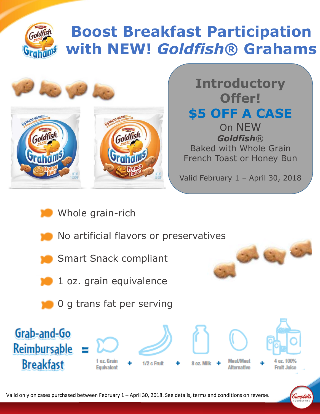## **Boost Breakfast Participation**  Goldfish **with NEW!** *Goldfish***® Grahams**



**Introductory Offer! \$5 OFF A CASE**  On NEW *Goldfish*® Baked with Whole Grain French Toast or Honey Bun

Valid February 1 – April 30, 2018

- Whole grain-rich
- No artificial flavors or preservatives
- Smart Snack compliant
- 1 oz. grain equivalence
- 0 g trans fat per serving